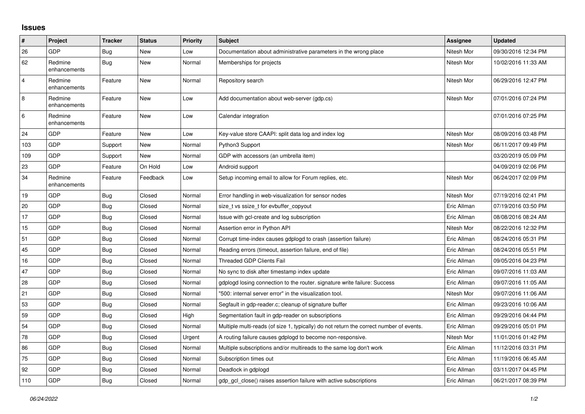## **Issues**

| #              | Project                 | <b>Tracker</b> | <b>Status</b> | <b>Priority</b> | <b>Subject</b>                                                                          | Assignee    | <b>Updated</b>      |
|----------------|-------------------------|----------------|---------------|-----------------|-----------------------------------------------------------------------------------------|-------------|---------------------|
| 26             | <b>GDP</b>              | <b>Bug</b>     | New           | Low             | Documentation about administrative parameters in the wrong place                        | Nitesh Mor  | 09/30/2016 12:34 PM |
| 62             | Redmine<br>enhancements | Bug            | <b>New</b>    | Normal          | Memberships for projects                                                                | Nitesh Mor  | 10/02/2016 11:33 AM |
| $\overline{4}$ | Redmine<br>enhancements | Feature        | <b>New</b>    | Normal          | Repository search                                                                       | Nitesh Mor  | 06/29/2016 12:47 PM |
| 8              | Redmine<br>enhancements | Feature        | New           | Low             | Add documentation about web-server (gdp.cs)                                             | Nitesh Mor  | 07/01/2016 07:24 PM |
| 6              | Redmine<br>enhancements | Feature        | <b>New</b>    | Low             | Calendar integration                                                                    |             | 07/01/2016 07:25 PM |
| 24             | <b>GDP</b>              | Feature        | New           | Low             | Key-value store CAAPI: split data log and index log                                     | Nitesh Mor  | 08/09/2016 03:48 PM |
| 103            | <b>GDP</b>              | Support        | <b>New</b>    | Normal          | Python3 Support                                                                         | Nitesh Mor  | 06/11/2017 09:49 PM |
| 109            | GDP                     | Support        | <b>New</b>    | Normal          | GDP with accessors (an umbrella item)                                                   |             | 03/20/2019 05:09 PM |
| 23             | <b>GDP</b>              | Feature        | On Hold       | Low             | Android support                                                                         |             | 04/09/2019 02:06 PM |
| 34             | Redmine<br>enhancements | Feature        | Feedback      | Low             | Setup incoming email to allow for Forum replies, etc.                                   | Nitesh Mor  | 06/24/2017 02:09 PM |
| 19             | <b>GDP</b>              | <b>Bug</b>     | Closed        | Normal          | Error handling in web-visualization for sensor nodes                                    | Nitesh Mor  | 07/19/2016 02:41 PM |
| 20             | GDP                     | <b>Bug</b>     | Closed        | Normal          | size_t vs ssize_t for evbuffer_copyout                                                  | Eric Allman | 07/19/2016 03:50 PM |
| 17             | GDP                     | <b>Bug</b>     | Closed        | Normal          | Issue with gcl-create and log subscription                                              | Eric Allman | 08/08/2016 08:24 AM |
| 15             | <b>GDP</b>              | Bug            | Closed        | Normal          | Assertion error in Python API                                                           | Nitesh Mor  | 08/22/2016 12:32 PM |
| 51             | <b>GDP</b>              | <b>Bug</b>     | Closed        | Normal          | Corrupt time-index causes gdplogd to crash (assertion failure)                          | Eric Allman | 08/24/2016 05:31 PM |
| 45             | GDP                     | <b>Bug</b>     | Closed        | Normal          | Reading errors (timeout, assertion failure, end of file)                                | Eric Allman | 08/24/2016 05:51 PM |
| 16             | <b>GDP</b>              | Bug            | Closed        | Normal          | <b>Threaded GDP Clients Fail</b>                                                        | Eric Allman | 09/05/2016 04:23 PM |
| 47             | GDP                     | <b>Bug</b>     | Closed        | Normal          | No sync to disk after timestamp index update                                            | Eric Allman | 09/07/2016 11:03 AM |
| 28             | GDP                     | <b>Bug</b>     | Closed        | Normal          | gdplogd losing connection to the router, signature write failure: Success               | Eric Allman | 09/07/2016 11:05 AM |
| 21             | <b>GDP</b>              | Bug            | Closed        | Normal          | "500: internal server error" in the visualization tool.                                 | Nitesh Mor  | 09/07/2016 11:06 AM |
| 53             | <b>GDP</b>              | <b>Bug</b>     | Closed        | Normal          | Segfault in gdp-reader.c; cleanup of signature buffer                                   | Eric Allman | 09/23/2016 10:06 AM |
| 59             | GDP                     | <b>Bug</b>     | Closed        | High            | Segmentation fault in gdp-reader on subscriptions                                       | Eric Allman | 09/29/2016 04:44 PM |
| 54             | GDP                     | Bug            | Closed        | Normal          | Multiple multi-reads (of size 1, typically) do not return the correct number of events. | Eric Allman | 09/29/2016 05:01 PM |
| 78             | GDP                     | <b>Bug</b>     | Closed        | Urgent          | A routing failure causes gdplogd to become non-responsive.                              | Nitesh Mor  | 11/01/2016 01:42 PM |
| 86             | GDP                     | <b>Bug</b>     | Closed        | Normal          | Multiple subscriptions and/or multireads to the same log don't work                     | Eric Allman | 11/12/2016 03:31 PM |
| 75             | <b>GDP</b>              | Bug            | Closed        | Normal          | Subscription times out                                                                  | Eric Allman | 11/19/2016 06:45 AM |
| 92             | <b>GDP</b>              | Bug            | Closed        | Normal          | Deadlock in gdplogd                                                                     | Eric Allman | 03/11/2017 04:45 PM |
| 110            | <b>GDP</b>              | <b>Bug</b>     | Closed        | Normal          | gdp gcl close() raises assertion failure with active subscriptions                      | Eric Allman | 06/21/2017 08:39 PM |